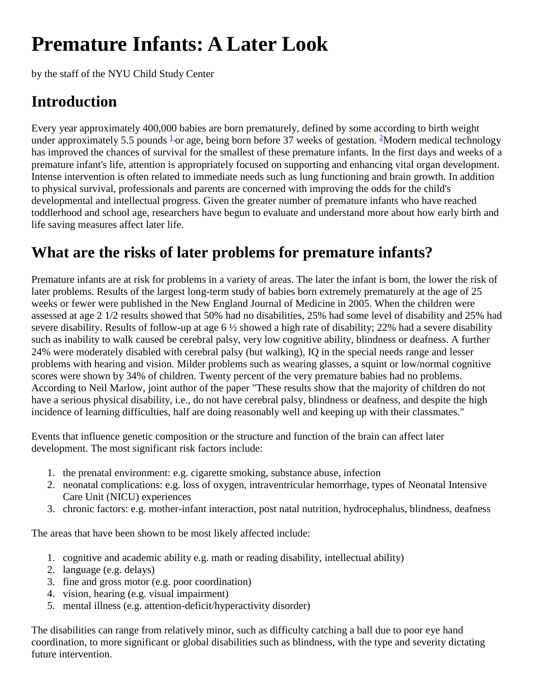# **Premature Infants: A Later Look**

by the staff of the NYU Child Study Center

## **Introduction**

Every year approximately 400,000 babies are born prematurely, defined by some according to birth weight under approximately 5.5 pounds  $\frac{1}{2}$  $\frac{1}{2}$  $\frac{1}{2}$  or age, being born before 37 weeks of gestation. <sup>2</sup>Modern medical technology has improved the chances of survival for the smallest of these premature infants. In the first days and weeks of a premature infant's life, attention is appropriately focused on supporting and enhancing vital organ development. Intense intervention is often related to immediate needs such as lung functioning and brain growth. In addition to physical survival, professionals and parents are concerned with improving the odds for the child's developmental and intellectual progress. Given the greater number of premature infants who have reached toddlerhood and school age, researchers have begun to evaluate and understand more about how early birth and life saving measures affect later life.

### **What are the risks of later problems for premature infants?**

Premature infants are at risk for problems in a variety of areas. The later the infant is born, the lower the risk of later problems. Results of the largest long-term study of babies born extremely prematurely at the age of 25 weeks or fewer were published in the New England Journal of Medicine in 2005. When the children were assessed at age 2 1/2 results showed that 50% had no disabilities, 25% had some level of disability and 25% had severe disability. Results of follow-up at age  $6\frac{1}{2}$  showed a high rate of disability; 22% had a severe disability such as inability to walk caused be cerebral palsy, very low cognitive ability, blindness or deafness. A further 24% were moderately disabled with cerebral palsy (but walking), IQ in the special needs range and lesser problems with hearing and vision. Milder problems such as wearing glasses, a squint or low/normal cognitive scores were shown by 34% of children. Twenty percent of the very premature babies had no problems. According to Neil Marlow, joint author of the paper "These results show that the majority of children do not have a serious physical disability, i.e., do not have cerebral palsy, blindness or deafness, and despite the high incidence of learning difficulties, half are doing reasonably well and keeping up with their classmates."

Events that influence genetic composition or the structure and function of the brain can affect later development. The most significant risk factors include:

- 1. the prenatal environment: e.g. cigarette smoking, substance abuse, infection
- 2. neonatal complications: e.g. loss of oxygen, intraventricular hemorrhage, types of Neonatal Intensive Care Unit (NICU) experiences
- 3. chronic factors: e.g. mother-infant interaction, post natal nutrition, hydrocephalus, blindness, deafness

The areas that have been shown to be most likely affected include:

- 1. cognitive and academic ability e.g. math or reading disability, intellectual ability)
- 2. language (e.g. delays)
- 3. fine and gross motor (e.g. poor coordination)
- 4. vision, hearing (e.g. visual impairment)
- 5. mental illness (e.g. attention-deficit/hyperactivity disorder)

The disabilities can range from relatively minor, such as difficulty catching a ball due to poor eye hand coordination, to more significant or global disabilities such as blindness, with the type and severity dictating future intervention.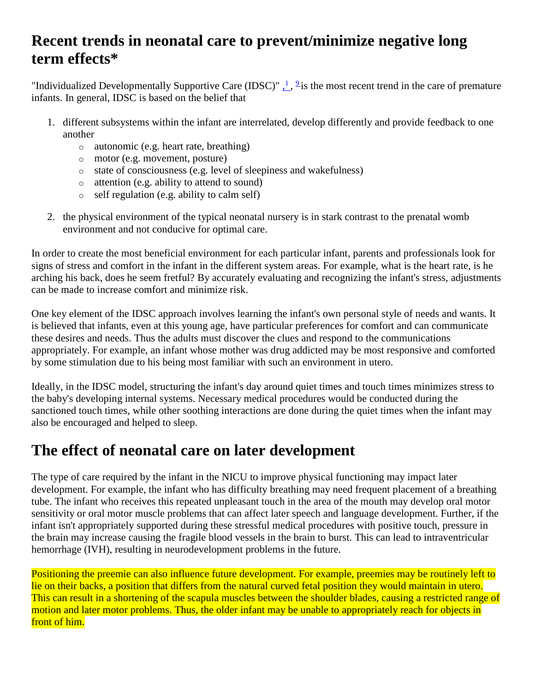#### **Recent trends in neonatal care to prevent/minimize negative long term effects\***

"Individualized Developmentally Supportive Care (IDSC)"  $\frac{1}{1}$ ,  $\frac{9}{2}$  is the most recent trend in the care of premature infants. In general, IDSC is based on the belief that

- 1. different subsystems within the infant are interrelated, develop differently and provide feedback to one another
	- o autonomic (e.g. heart rate, breathing)
	- o motor (e.g. movement, posture)
	- o state of consciousness (e.g. level of sleepiness and wakefulness)
	- o attention (e.g. ability to attend to sound)
	- o self regulation (e.g. ability to calm self)
- 2. the physical environment of the typical neonatal nursery is in stark contrast to the prenatal womb environment and not conducive for optimal care.

In order to create the most beneficial environment for each particular infant, parents and professionals look for signs of stress and comfort in the infant in the different system areas. For example, what is the heart rate, is he arching his back, does he seem fretful? By accurately evaluating and recognizing the infant's stress, adjustments can be made to increase comfort and minimize risk.

One key element of the IDSC approach involves learning the infant's own personal style of needs and wants. It is believed that infants, even at this young age, have particular preferences for comfort and can communicate these desires and needs. Thus the adults must discover the clues and respond to the communications appropriately. For example, an infant whose mother was drug addicted may be most responsive and comforted by some stimulation due to his being most familiar with such an environment in utero.

Ideally, in the IDSC model, structuring the infant's day around quiet times and touch times minimizes stress to the baby's developing internal systems. Necessary medical procedures would be conducted during the sanctioned touch times, while other soothing interactions are done during the quiet times when the infant may also be encouraged and helped to sleep.

#### **The effect of neonatal care on later development**

The type of care required by the infant in the NICU to improve physical functioning may impact later development. For example, the infant who has difficulty breathing may need frequent placement of a breathing tube. The infant who receives this repeated unpleasant touch in the area of the mouth may develop oral motor sensitivity or oral motor muscle problems that can affect later speech and language development. Further, if the infant isn't appropriately supported during these stressful medical procedures with positive touch, pressure in the brain may increase causing the fragile blood vessels in the brain to burst. This can lead to intraventricular hemorrhage (IVH), resulting in neurodevelopment problems in the future.

Positioning the preemie can also influence future development. For example, preemies may be routinely left to lie on their backs, a position that differs from the natural curved fetal position they would maintain in utero. This can result in a shortening of the scapula muscles between the shoulder blades, causing a restricted range of motion and later motor problems. Thus, the older infant may be unable to appropriately reach for objects in front of him.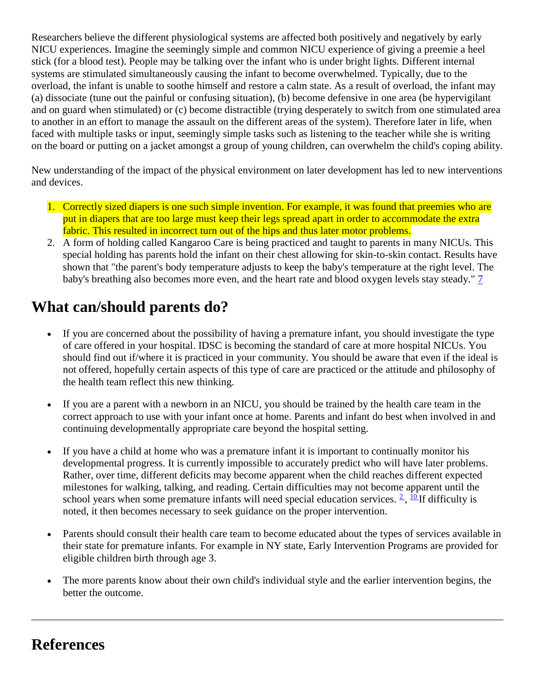Researchers believe the different physiological systems are affected both positively and negatively by early NICU experiences. Imagine the seemingly simple and common NICU experience of giving a preemie a heel stick (for a blood test). People may be talking over the infant who is under bright lights. Different internal systems are stimulated simultaneously causing the infant to become overwhelmed. Typically, due to the overload, the infant is unable to soothe himself and restore a calm state. As a result of overload, the infant may (a) dissociate (tune out the painful or confusing situation), (b) become defensive in one area (be hypervigilant and on guard when stimulated) or (c) become distractible (trying desperately to switch from one stimulated area to another in an effort to manage the assault on the different areas of the system). Therefore later in life, when faced with multiple tasks or input, seemingly simple tasks such as listening to the teacher while she is writing on the board or putting on a jacket amongst a group of young children, can overwhelm the child's coping ability.

New understanding of the impact of the physical environment on later development has led to new interventions and devices.

- 1. Correctly sized diapers is one such simple invention. For example, it was found that preemies who are put in diapers that are too large must keep their legs spread apart in order to accommodate the extra fabric. This resulted in incorrect turn out of the hips and thus later motor problems.
- 2. A form of holding called Kangaroo Care is being practiced and taught to parents in many NICUs. This special holding has parents hold the infant on their chest allowing for skin-to-skin contact. Results have shown that "the parent's body temperature adjusts to keep the baby's temperature at the right level. The baby's breathing also becomes more even, and the heart rate and blood oxygen levels stay steady." [7](http://www.aboutourkids.org/articles/premature_infants_later_look#references)

## **What can/should parents do?**

- If you are concerned about the possibility of having a premature infant, you should investigate the type of care offered in your hospital. IDSC is becoming the standard of care at more hospital NICUs. You should find out if/where it is practiced in your community. You should be aware that even if the ideal is not offered, hopefully certain aspects of this type of care are practiced or the attitude and philosophy of the health team reflect this new thinking.
- If you are a parent with a newborn in an NICU, you should be trained by the health care team in the correct approach to use with your infant once at home. Parents and infant do best when involved in and continuing developmentally appropriate care beyond the hospital setting.
- If you have a child at home who was a premature infant it is important to continually monitor his developmental progress. It is currently impossible to accurately predict who will have later problems. Rather, over time, different deficits may become apparent when the child reaches different expected milestones for walking, talking, and reading. Certain difficulties may not become apparent until the school years when some premature infants will need special education services.  $\frac{2}{10}$ ,  $\frac{10}{10}$  difficulty is noted, it then becomes necessary to seek guidance on the proper intervention.
- Parents should consult their health care team to become educated about the types of services available in their state for premature infants. For example in NY state, Early Intervention Programs are provided for eligible children birth through age 3.
- The more parents know about their own child's individual style and the earlier intervention begins, the better the outcome.

#### **References**